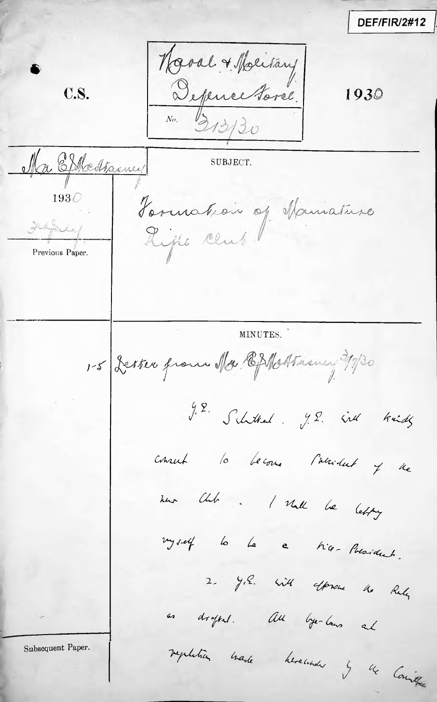DEF/FIR/2#12 Naval + Maritany **C.S.** 1930 Ma Elkestamey SUBJECT. Formation of Maniature  $193\oslash$ Previous Paper. MINUTES. 1-5 Letter from Mr. Ephottasury 3/7/30 J.E. Schttel. J.E. ind kind consul la become l'assistant y de now this . I shall be lefty vyself la le c tier President. 2. Y.S. Will express to Rely as dropped. All bye-laws al regulation made hereunde y de Counter Subsequent Paper.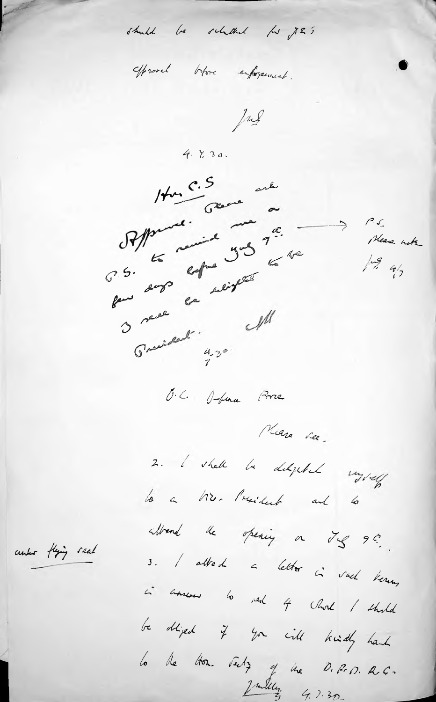should be scholded for y 2 ;

offrend blove enforcement.

Jul

 $4.230.$ 



O.C. D-bina Porce

Miere ree.

 $P.S.$ 

 $\frac{1}{3}$ 

Please note

 $\Rightarrow$ 

2. I shall be delighted vigtely lo a Mr. President and lo

albend the opening on Jog 9!

3. I allad a letter in vach bernen,

in answers to red 4 chord / third

be dliped if you will kindly haid

la de tron. July y une D. P. D. R.C.

center flying seal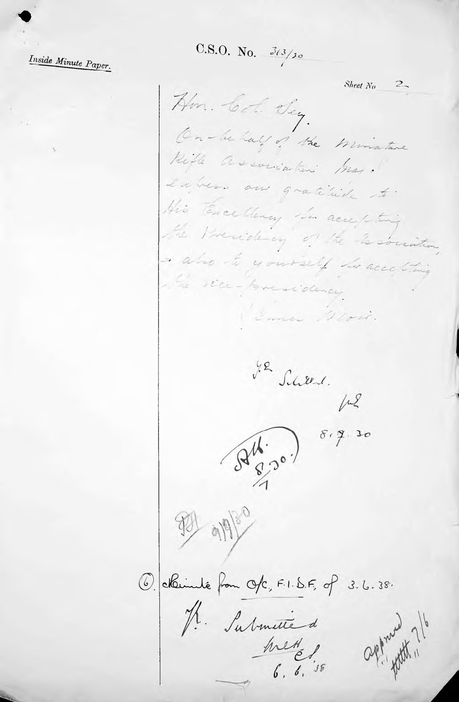Inside Minute Paper.

C.S.O. No.  $\frac{3(3)}{20}$ 

Sheet  $N_{\theta}$  2 Hm. Col. Day. On-behalf of the Minature Hill association busy. extres aux gratitude to. His Tencelleney in accepting the Presidency of the Tecorristor, also to yourself to accelling the sice-pressidency. Emer Moir. J.R Scheen.<br>fr2  $S^{4}$   $S^{5}$ 931 919/0 6. okunité from Ofc, F.I.S.F, of 3.6.38. R. Submitted<br>Mettel<br>6, 6, 5, 58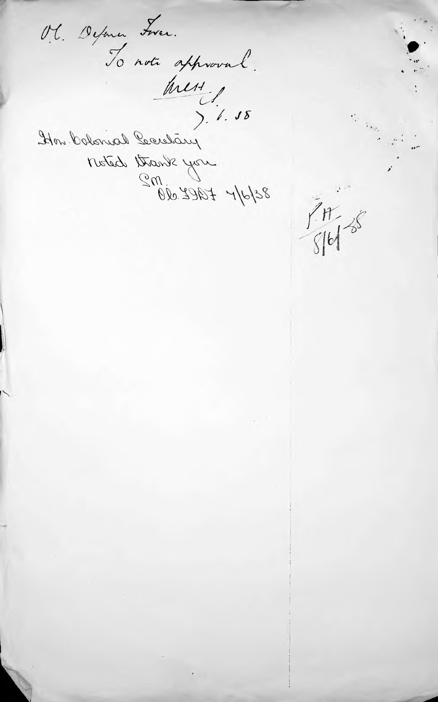Ol. Defona Frer.<br>To note approval.<br>Mess. 1. 18 Moted Brank you<br>Scholf + 1922.000

 $7 + 18$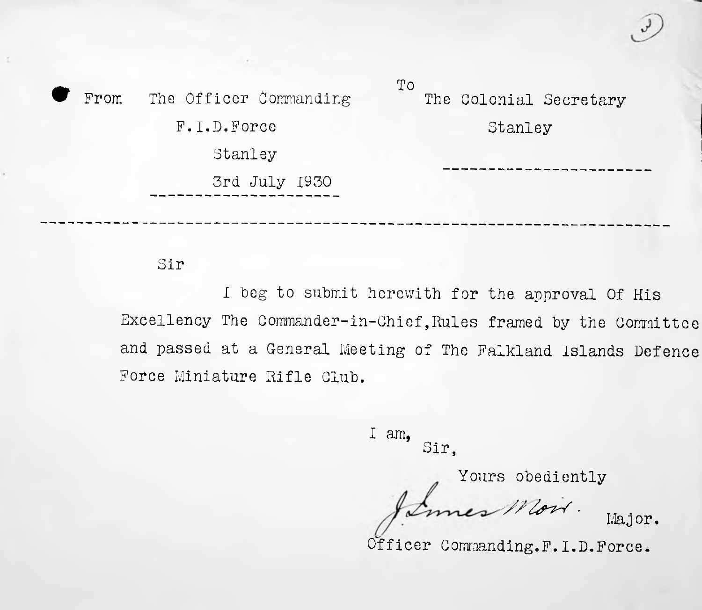To From The Officer Commanding F.I.D.Force Stanley 3rd July 1930 The Colonial Secretary Stanley

### Sir

I beg to submit herewith for the approval Of His Excellency The Commander-in-Chief,Rules framed by the Committee and passed at a General Meeting of The Falkland Islands Defence Force Miniature Rifle Club.

> I am, Sir,

> > Yours obediently<br>res Moir

Major.

Officer Commanding.F.I.D.Force.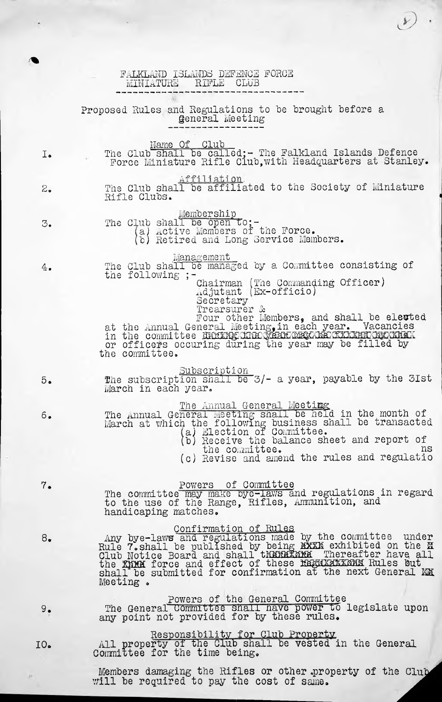|     | FALKLAND ISLANDS DEFENCE FORCE<br>RIFLE<br>CLUB<br>MINIATURE                                                                                                                                                                                                                                                          |
|-----|-----------------------------------------------------------------------------------------------------------------------------------------------------------------------------------------------------------------------------------------------------------------------------------------------------------------------|
|     | Proposed Rules and Regulations to be brought before a<br><b>General</b> Meeting                                                                                                                                                                                                                                       |
| I.  | Name Of Club<br>The Club shall be called; - The Falkland Islands Defence<br>Force Miniature Rifle Club, with Headquarters at Stanley.                                                                                                                                                                                 |
| 2.  | Affiliation<br>The Club shall be affiliated to the Society of Miniature<br>Rifle Clubs.                                                                                                                                                                                                                               |
| 3.  | Membership<br>The Club shall be open to;-<br>(a) Active Members of the Force.<br>b) Retired and Long Service Members.                                                                                                                                                                                                 |
| 4.  | Management<br>The Club shall be managed by a Committee consisting of<br>the following ;-<br>Chairman (The Commanding Officer)<br>Adjutant (Ex-officio)<br>Secretary<br>Trearsurer &                                                                                                                                   |
|     | Four other Members, and shall be elected<br>at the Annual General Meeting, in each year. Vacancies<br>in the committee during inexpeak may have taken by that<br>or officers occuring during the year may be filled by<br>the committee.                                                                              |
| 5.  | Subscription<br>The subscription shall be 3/- a year, payable by the 3Ist<br>March in each year.                                                                                                                                                                                                                      |
| 6.  | The Annual General Meeting<br>The Annual General Meeting shall be held in the month of<br>March at which the following business shall be transacted<br>(a) Election of Committee.<br>(b) Receive the balance sheet and report of                                                                                      |
|     | the committee.<br>ns<br>(c) Revise and amend the rules and regulatio                                                                                                                                                                                                                                                  |
| 7.  | Powers of Committee<br>The committee may make by e-laws and regulations in regard<br>to the use of the Range, Rifles, Ammunition, and<br>handicaping matches.                                                                                                                                                         |
| 8.  | Confirmation of Rules<br>Any bye-laws and regulations made by the committee under<br>Rule 7. shall be published by being EXXX exhibited on the M<br>Club Notice Board and shall the Kerking Thereafter have all<br>the KERK force and effe<br>shall be submitted for confirmation at the next General MM<br>Meeting . |
| 9.  | Powers of the General Committee<br>The General Committee shall have power to legislate upon<br>any point not provided for by these rules.                                                                                                                                                                             |
| IO. | Responsibility for Club Property<br>All property of the Club shall be vested in the General<br>Committee for the time being.                                                                                                                                                                                          |
|     | Members damaging the Rifles or other property of the Club<br>will be required to pay the cost of same.                                                                                                                                                                                                                |

 $\mathcal{D}$ .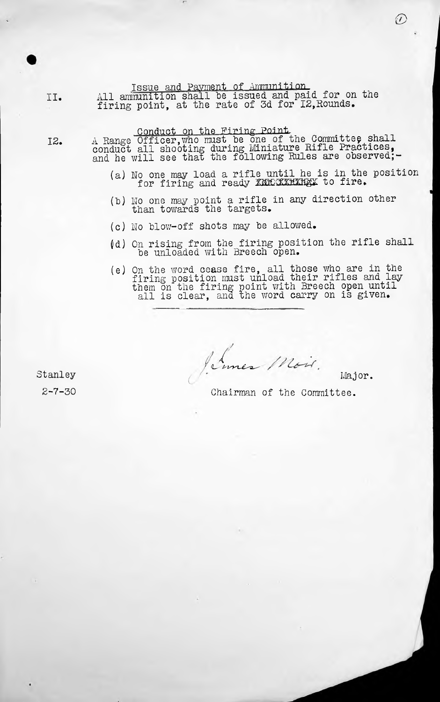Issue and Payment of Ammunition.

II. All ammunition shall be issued and paid for on the firing point, at the rate of 3d for I2, Rounds.

Conduct on the Firing Point.

A Range Officer, who must be one of the Committee shall A Range UIIICer, who must be one of the Committee, Sharp conduct all shooting during miniature hille liactices,

- (a) No one may load a rifle until he is in the position o one may load a rifle dhoif he is in one
- (b) No one may point <sup>a</sup> rifle in any direction other than towards the targets.
- (c) No blow-off shots may be allowed.
- (d) On rising from the firing position the rifle shall be unloaded with Breech open.
- (e) On the word cease fire, all those who are in the On the word cease iffe, all those who are in the<br>firing position must unload their rifles and lay them on the firing point with Breech open until all is clear, and the word carry on is given.

 $\sqrt{2}$ Major.

*iL-'*

Stanley 2-7-30

12.

Chairman of the Committee.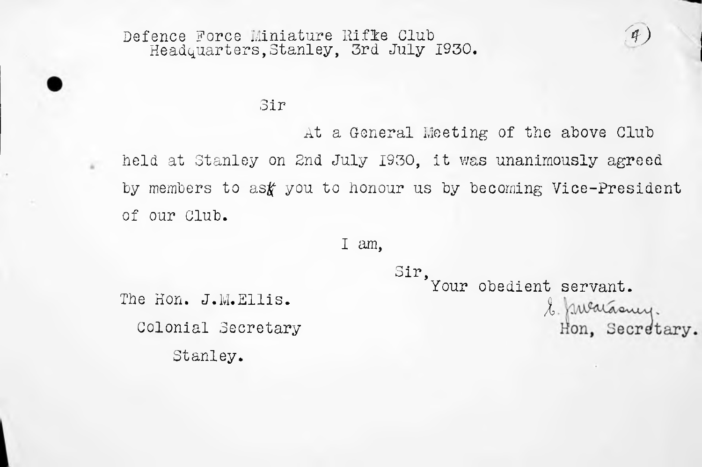# Defence Force Miniature Rifle Club<br>*Headquarters,Stanley, 3rd July 1930.*

# Sir

At a General Meeting of the above Club held at Stanley on 2nd July 1930, it was unanimously agreed by members to as $f$  you to honour us by becoming Vice-President of our Club.

Sir,

## I am,

The Hon. J.M.Ellis. Colonial Secretary Stanley.

Your obedient servant. *I*Hon, Secretary.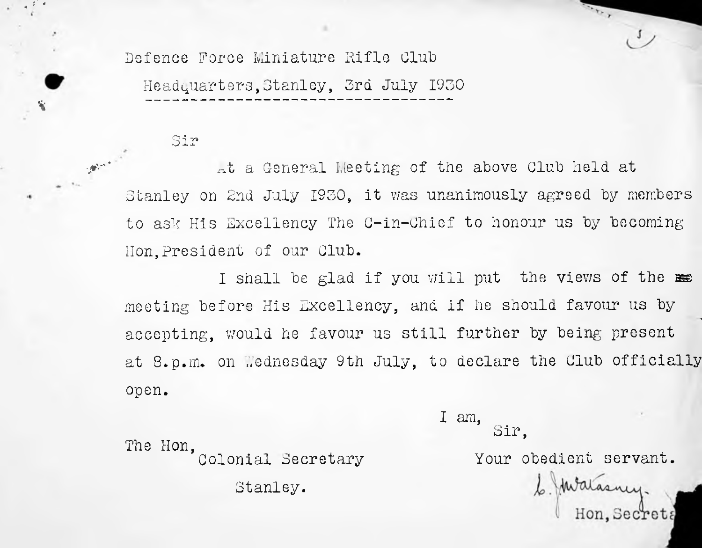Defence Force Miniature Rifle Club Headquarters,Stanley, 3rd July 1930

#### Sir

**.** *t' •*

%

At a General Meeting of the above Club held at Stanley on 2nd July 1930, it was unanimously agreed by members to ask His Excellency The C-in-Chief to honour us by becoming Hon,President of our Club.

I shall be glad if you will put the views of the meeting before His Excellency, and if he should favour us by accepting, would he favour us still further by being present at 8.p.m. on Wednesday 9th July, to declare the Club officially open.

> I am, Sir,

The Hon, Colonial Secretary Stanley.

Your obedient servant.

6. Malasney.<br>Hon, secrets